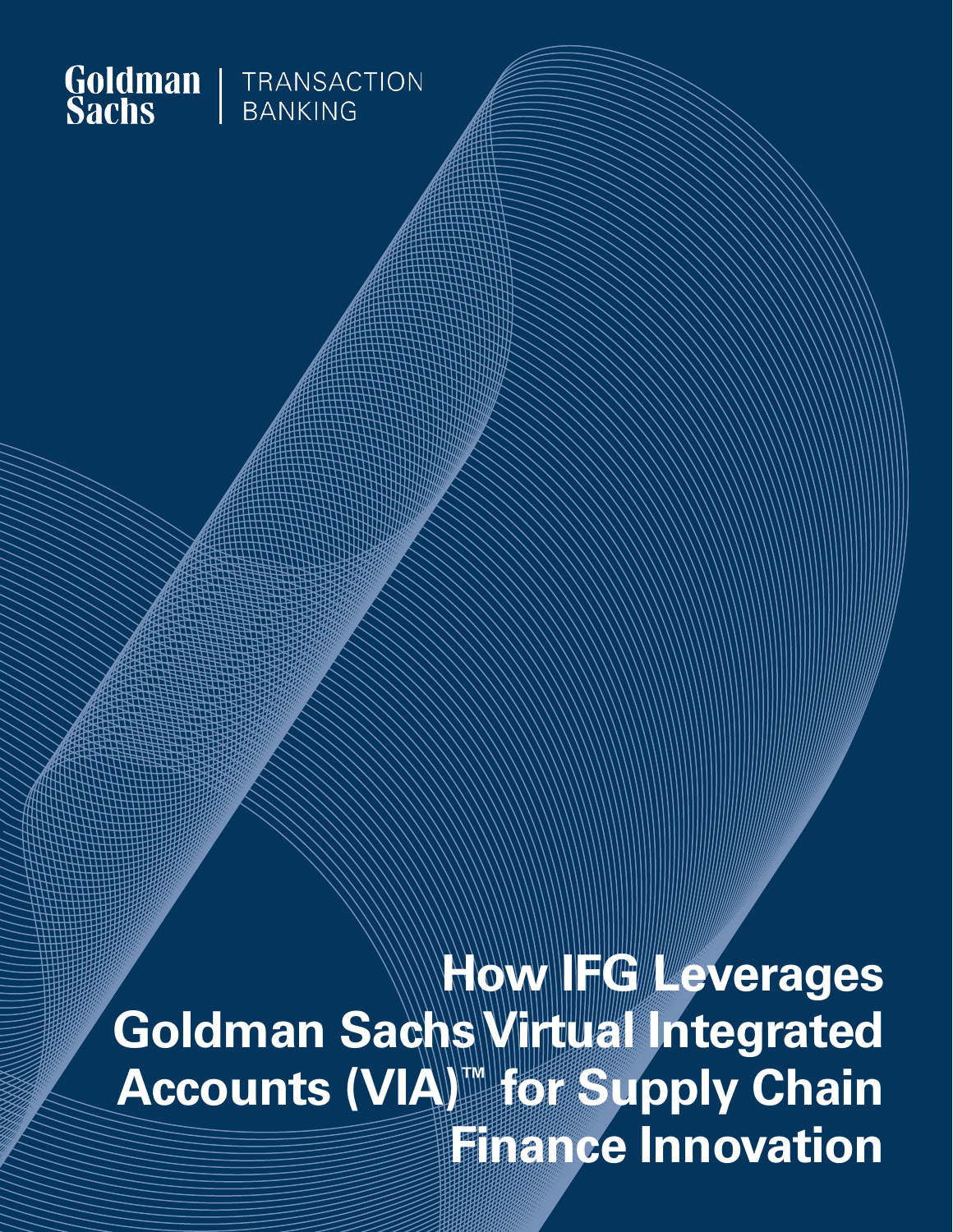

**How FG Leverages Goldman Sachs Virtual Integrated Accounts (VIA)™ for Supply Chain Finance Innovation**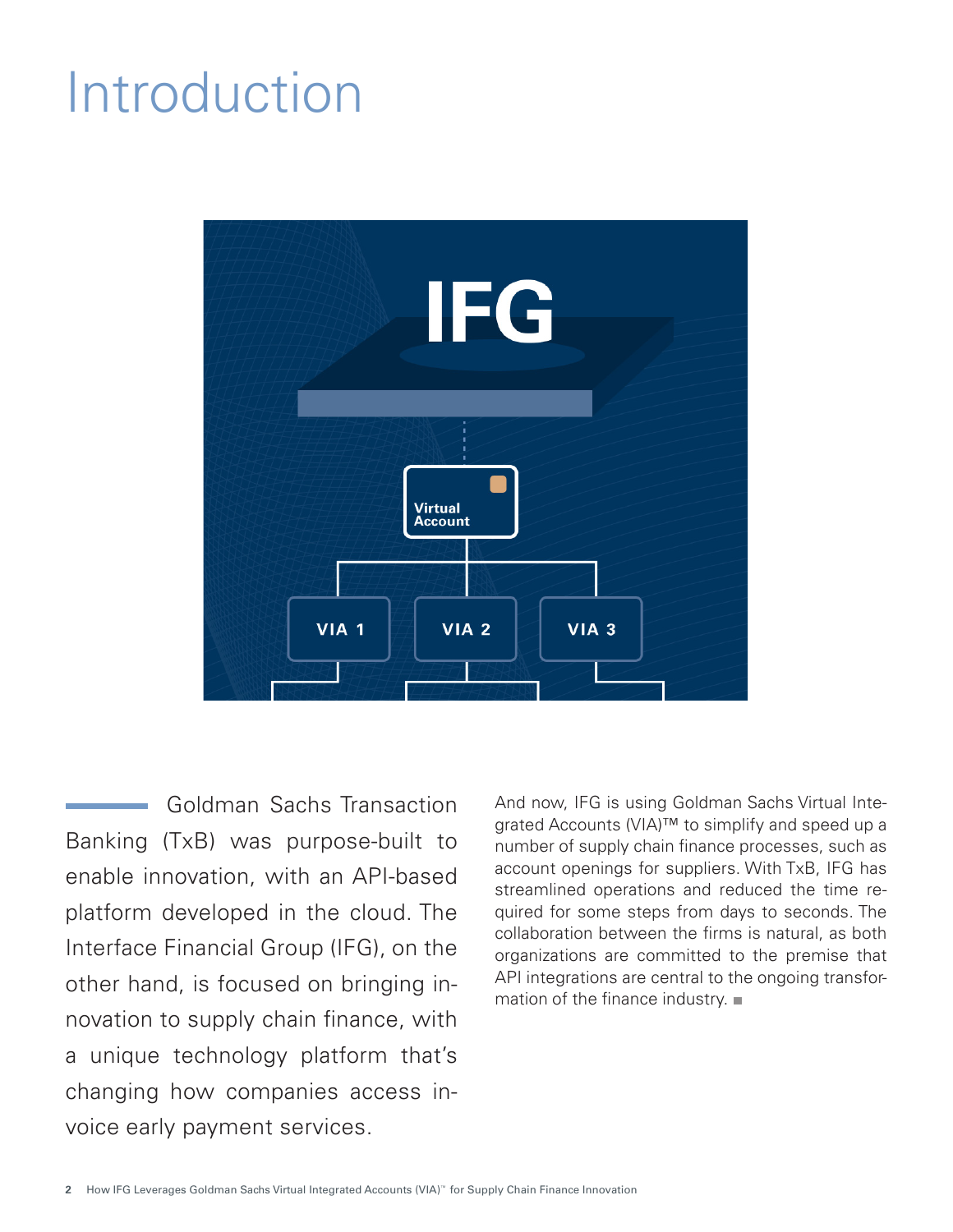## Introduction



Goldman Sachs Transaction Banking (TxB) was purpose-built to enable innovation, with an API-based platform developed in the cloud. The Interface Financial Group (IFG), on the other hand, is focused on bringing innovation to supply chain finance, with a unique technology platform that's changing how companies access invoice early payment services.

And now, IFG is using Goldman Sachs Virtual Integrated Accounts (VIA)<sup>™</sup> to simplify and speed up a number of supply chain finance processes, such as account openings for suppliers. With TxB, IFG has streamlined operations and reduced the time required for some steps from days to seconds. The collaboration between the firms is natural, as both organizations are committed to the premise that API integrations are central to the ongoing transformation of the finance industry.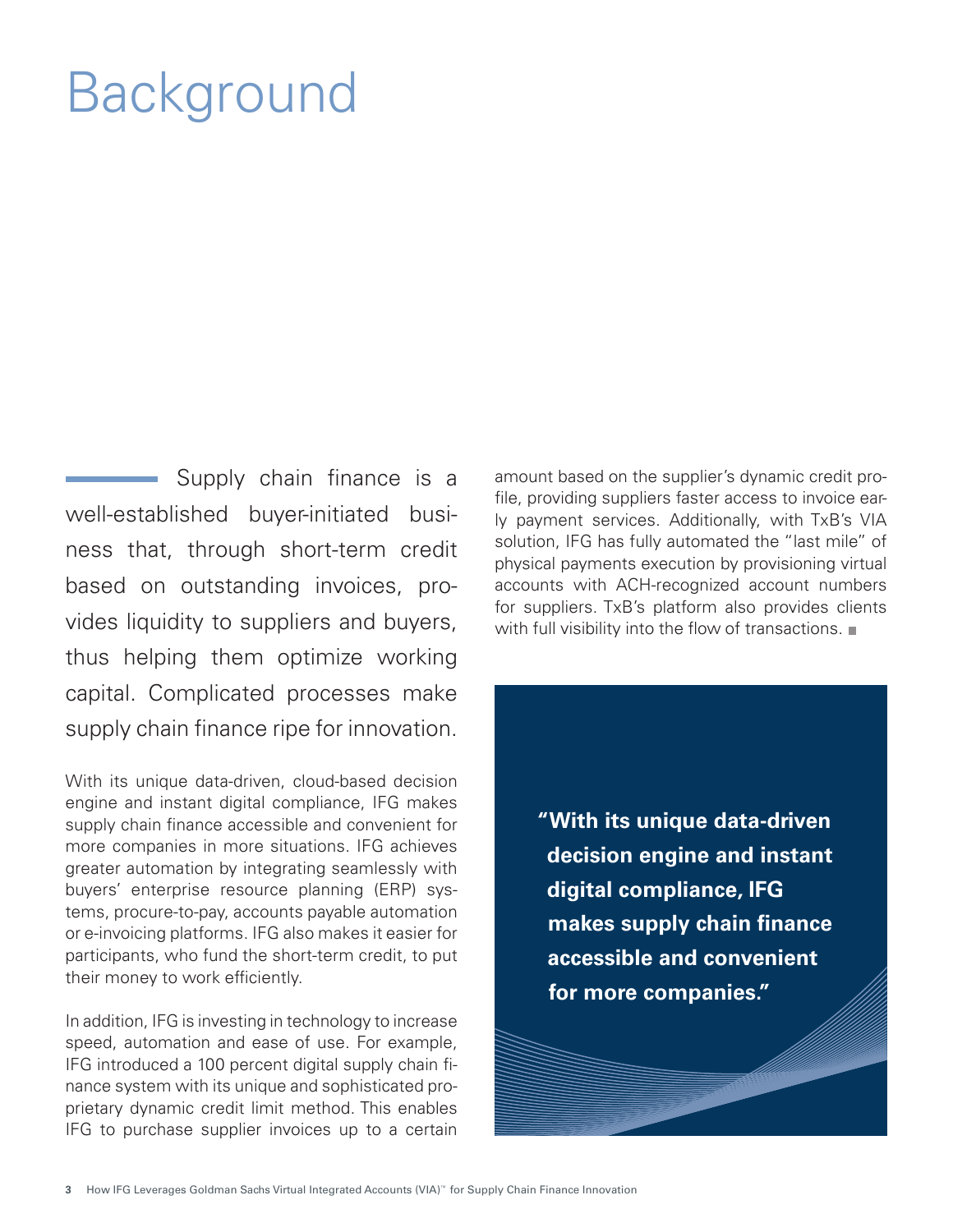# Background

Supply chain finance is a well-established buyer-initiated business that, through short-term credit based on outstanding invoices, provides liquidity to suppliers and buyers, thus helping them optimize working capital. Complicated processes make supply chain finance ripe for innovation.

With its unique data-driven, cloud-based decision engine and instant digital compliance, IFG makes supply chain finance accessible and convenient for more companies in more situations. IFG achieves greater automation by integrating seamlessly with buyers' enterprise resource planning (ERP) systems, procure-to-pay, accounts payable automation or e-invoicing platforms. IFG also makes it easier for participants, who fund the short-term credit, to put their money to work efficiently.

In addition, IFG is investing in technology to increase speed, automation and ease of use. For example, IFG introduced a 100 percent digital supply chain finance system with its unique and sophisticated proprietary dynamic credit limit method. This enables IFG to purchase supplier invoices up to a certain

amount based on the supplier's dynamic credit profile, providing suppliers faster access to invoice early payment services. Additionally, with TxB's VIA solution, IFG has fully automated the "last mile" of physical payments execution by provisioning virtual accounts with ACH-recognized account numbers for suppliers. TxB's platform also provides clients with full visibility into the flow of transactions.

> **"With its unique data-driven decision engine and instant digital compliance, IFG makes supply chain finance accessible and convenient for more companies."**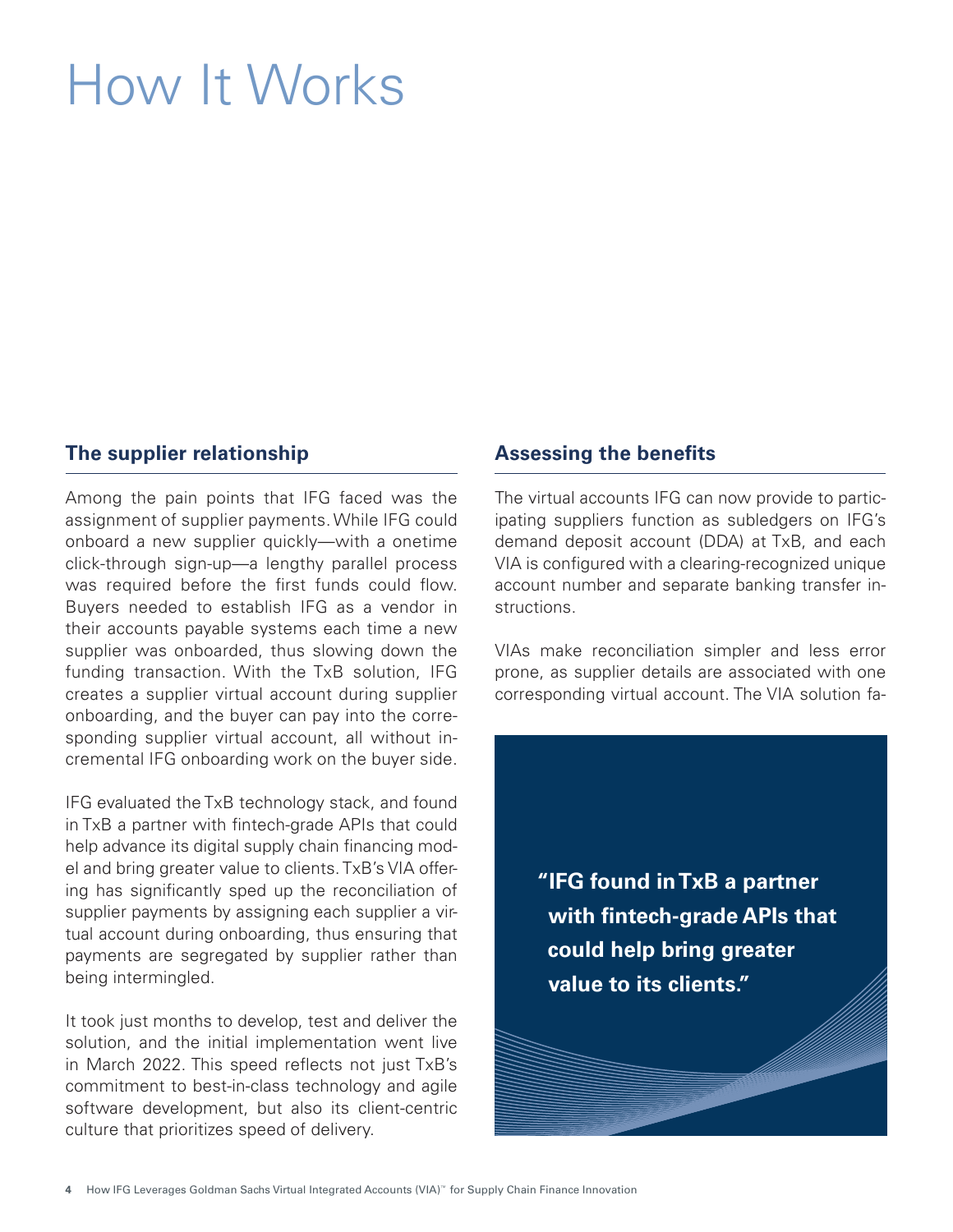# How It Works

### **The supplier relationship**

Among the pain points that IFG faced was the assignment of supplier payments. While IFG could onboard a new supplier quickly—with a onetime click-through sign-up—a lengthy parallel process was required before the first funds could flow. Buyers needed to establish IFG as a vendor in their accounts payable systems each time a new supplier was onboarded, thus slowing down the funding transaction. With the TxB solution, IFG creates a supplier virtual account during supplier onboarding, and the buyer can pay into the corresponding supplier virtual account, all without incremental IFG onboarding work on the buyer side.

IFG evaluated the TxB technology stack, and found in TxB a partner with fintech-grade APIs that could help advance its digital supply chain financing model and bring greater value to clients. TxB's VIA offering has significantly sped up the reconciliation of supplier payments by assigning each supplier a virtual account during onboarding, thus ensuring that payments are segregated by supplier rather than being intermingled.

It took just months to develop, test and deliver the solution, and the initial implementation went live in March 2022. This speed reflects not just TxB's commitment to best-in-class technology and agile software development, but also its client-centric culture that prioritizes speed of delivery.

### **Assessing the benefits**

The virtual accounts IFG can now provide to participating suppliers function as subledgers on IFG's demand deposit account (DDA) at TxB, and each VIA is configured with a clearing-recognized unique account number and separate banking transfer instructions.

VIAs make reconciliation simpler and less error prone, as supplier details are associated with one corresponding virtual account. The VIA solution fa-

> **"IFG found in TxB a partner with fintech-grade APIs that could help bring greater value to its clients."**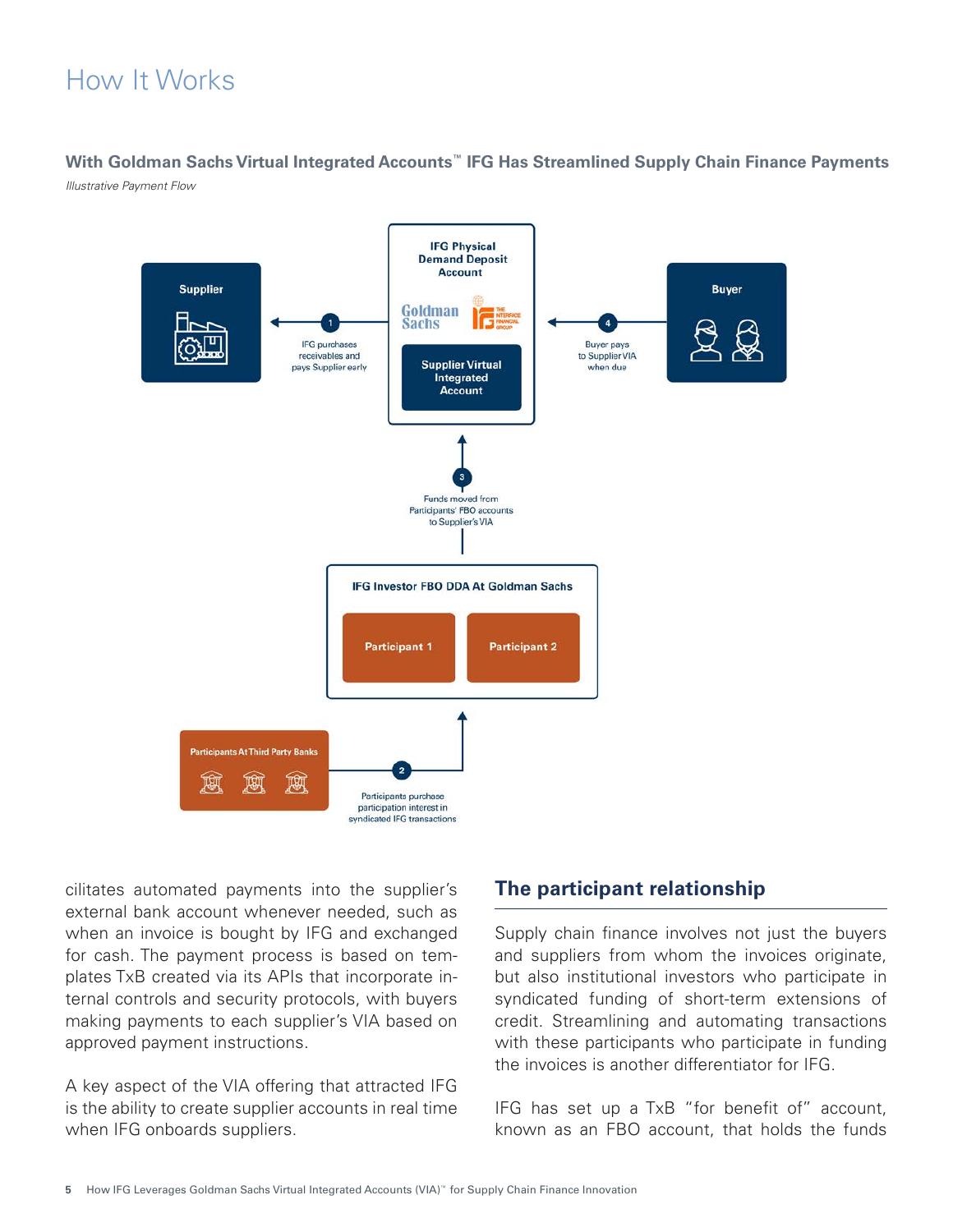## How It Works

### **With Goldman Sachs Virtual Integrated Accounts™ IFG Has Streamlined Supply Chain Finance Payments**

*Illustrative Payment Flow*



cilitates automated payments into the supplier's external bank account whenever needed, such as when an invoice is bought by IFG and exchanged for cash. The payment process is based on templates TxB created via its APIs that incorporate internal controls and security protocols, with buyers making payments to each supplier's VIA based on approved payment instructions.

A key aspect of the VIA offering that attracted IFG is the ability to create supplier accounts in real time when IFG onboards suppliers.

### **The participant relationship**

Supply chain finance involves not just the buyers and suppliers from whom the invoices originate, but also institutional investors who participate in syndicated funding of short-term extensions of credit. Streamlining and automating transactions with these participants who participate in funding the invoices is another differentiator for IFG.

IFG has set up a TxB "for benefit of" account, known as an FBO account, that holds the funds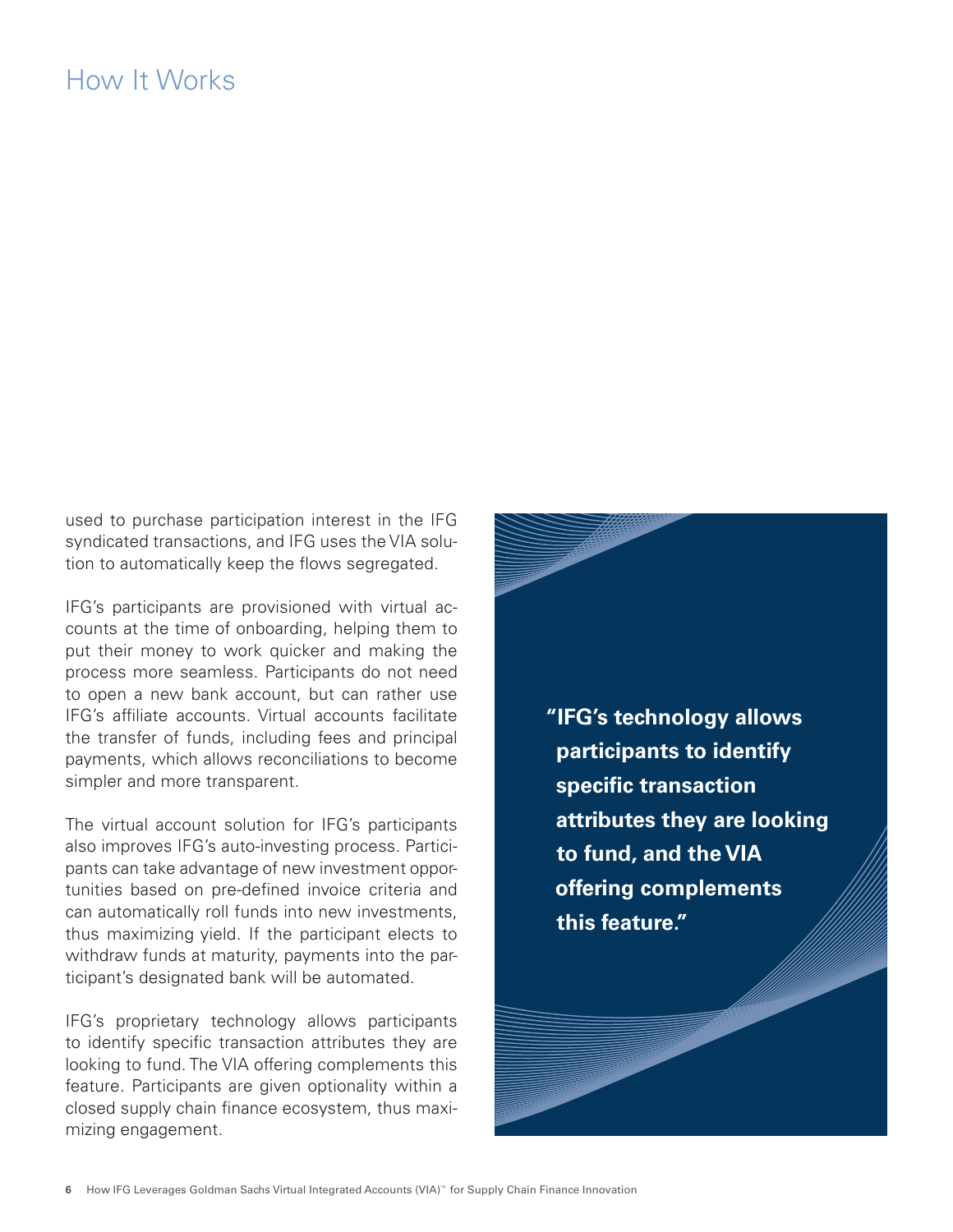## How It Works

used to purchase participation interest in the IFG syndicated transactions, and IFG uses the VIA solution to automatically keep the flows segregated.

IFG's participants are provisioned with virtual accounts at the time of onboarding, helping them to put their money to work quicker and making the process more seamless. Participants do not need to open a new bank account, but can rather use IFG's affiliate accounts. Virtual accounts facilitate the transfer of funds, including fees and principal payments, which allows reconciliations to become simpler and more transparent.

The virtual account solution for IFG's participants also improves IFG's auto-investing process. Participants can take advantage of new investment opportunities based on pre-defined invoice criteria and can automatically roll funds into new investments, thus maximizing yield. If the participant elects to withdraw funds at maturity, payments into the participant's designated bank will be automated.

IFG's proprietary technology allows participants to identify specific transaction attributes they are looking to fund. The VIA offering complements this feature. Participants are given optionality within a closed supply chain finance ecosystem, thus maximizing engagement.

**"IFG's technology allows participants to identify specific transaction attributes they are looking to fund, and the VIA offering complements this feature."**